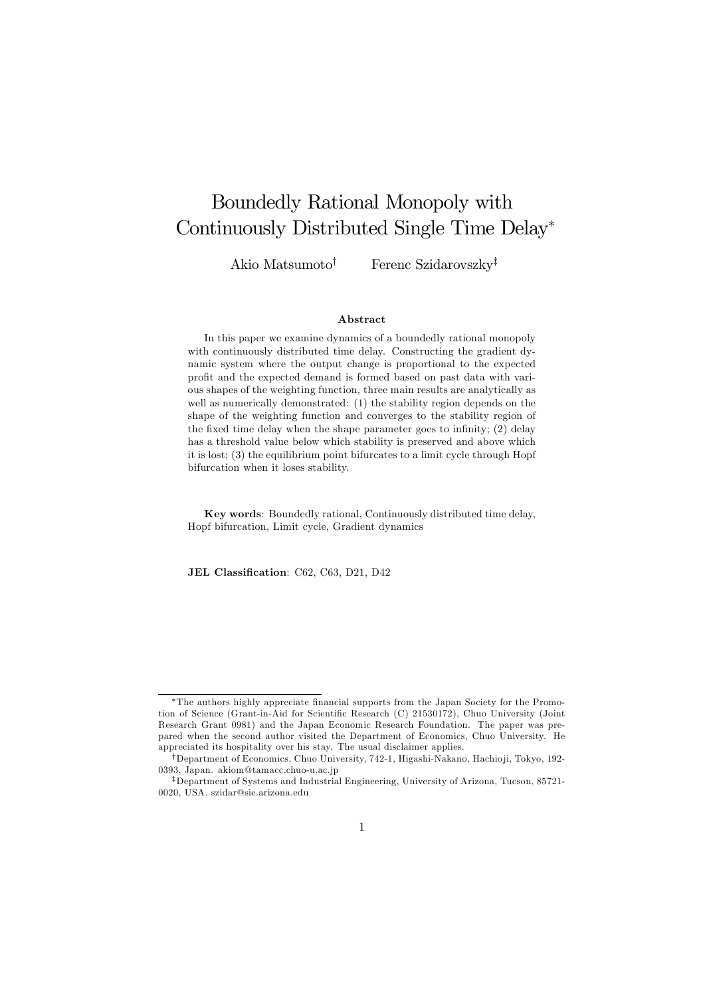# Boundedly Rational Monopoly with Continuously Distributed Single Time Delay<sup>∗</sup>

Akio Matsumoto<sup>†</sup> Ferenc Szidarovszky<sup>‡</sup>

#### Abstract

In this paper we examine dynamics of a boundedly rational monopoly with continuously distributed time delay. Constructing the gradient dynamic system where the output change is proportional to the expected profit and the expected demand is formed based on past data with various shapes of the weighting function, three main results are analytically as well as numerically demonstrated: (1) the stability region depends on the shape of the weighting function and converges to the stability region of the fixed time delay when the shape parameter goes to infinity; (2) delay has a threshold value below which stability is preserved and above which it is lost; (3) the equilibrium point bifurcates to a limit cycle through Hopf bifurcation when it loses stability.

Key words: Boundedly rational, Continuously distributed time delay, Hopf bifurcation, Limit cycle, Gradient dynamics

JEL Classification: C62, C63, D21, D42

<sup>∗</sup>The authors highly appreciate financial supports from the Japan Society for the Promotion of Science (Grant-in-Aid for Scientific Research (C) 21530172), Chuo University (Joint Research Grant 0981) and the Japan Economic Research Foundation. The paper was prepared when the second author visited the Department of Economics, Chuo University. He appreciated its hospitality over his stay. The usual disclaimer applies.

<sup>†</sup>Department of Economics, Chuo University, 742-1, Higashi-Nakano, Hachio ji, Tokyo, 192- 0393, Japan. akiom@tamacc.chuo-u.ac.jp

<sup>‡</sup>Department of Systems and Industrial Engineering, University of Arizona, Tucson, 85721- 0020, USA. szidar@sie.arizona.edu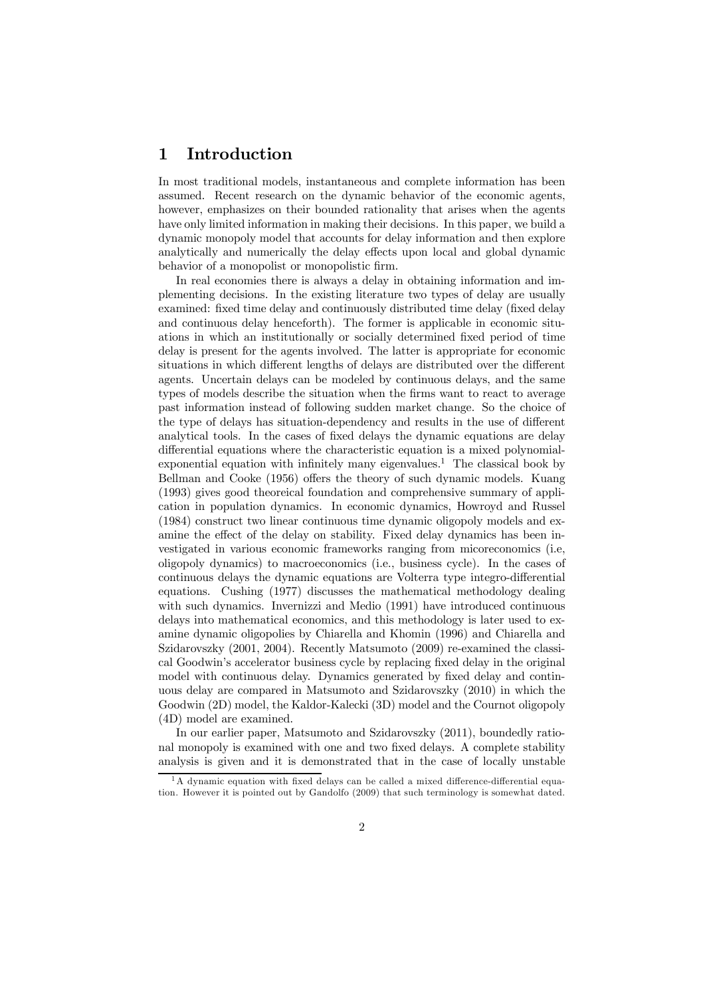# 1 Introduction

In most traditional models, instantaneous and complete information has been assumed. Recent research on the dynamic behavior of the economic agents, however, emphasizes on their bounded rationality that arises when the agents have only limited information in making their decisions. In this paper, we build a dynamic monopoly model that accounts for delay information and then explore analytically and numerically the delay effects upon local and global dynamic behavior of a monopolistic firm.

In real economies there is always a delay in obtaining information and implementing decisions. In the existing literature two types of delay are usually examined: fixed time delay and continuously distributed time delay (fixed delay and continuous delay henceforth). The former is applicable in economic situations in which an institutionally or socially determined fixed period of time delay is present for the agents involved. The latter is appropriate for economic situations in which different lengths of delays are distributed over the different agents. Uncertain delays can be modeled by continuous delays, and the same types of models describe the situation when the firms want to react to average past information instead of following sudden market change. So the choice of the type of delays has situation-dependency and results in the use of different analytical tools. In the cases of fixed delays the dynamic equations are delay differential equations where the characteristic equation is a mixed polynomialexponential equation with infinitely many eigenvalues.<sup>1</sup> The classical book by Bellman and Cooke (1956) offers the theory of such dynamic models. Kuang (1993) gives good theoreical foundation and comprehensive summary of application in population dynamics. In economic dynamics, Howroyd and Russel (1984) construct two linear continuous time dynamic oligopoly models and examine the effect of the delay on stability. Fixed delay dynamics has been investigated in various economic frameworks ranging from micoreconomics (i.e, oligopoly dynamics) to macroeconomics (i.e., business cycle). In the cases of continuous delays the dynamic equations are Volterra type integro-differential equations. Cushing (1977) discusses the mathematical methodology dealing with such dynamics. Invernizzi and Medio (1991) have introduced continuous delays into mathematical economics, and this methodology is later used to examine dynamic oligopolies by Chiarella and Khomin (1996) and Chiarella and Szidarovszky (2001, 2004). Recently Matsumoto (2009) re-examined the classical Goodwin's accelerator business cycle by replacing fixed delay in the original model with continuous delay. Dynamics generated by fixed delay and continuous delay are compared in Matsumoto and Szidarovszky (2010) in which the Goodwin (2D) model, the Kaldor-Kalecki (3D) model and the Cournot oligopoly (4D) model are examined.

In our earlier paper, Matsumoto and Szidarovszky (2011), boundedly rational monopoly is examined with one and two fixed delays. A complete stability analysis is given and it is demonstrated that in the case of locally unstable

 $1A$  dynamic equation with fixed delays can be called a mixed difference-differential equation. However it is pointed out by Gandolfo (2009) that such terminology is somewhat dated.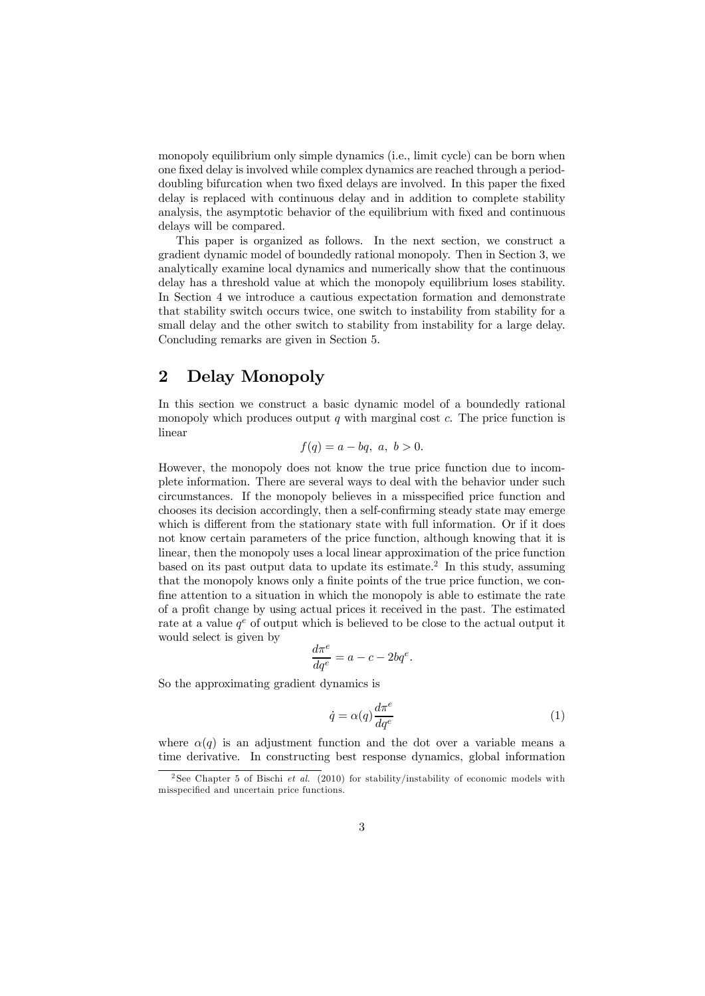monopoly equilibrium only simple dynamics (i.e., limit cycle) can be born when one fixed delay is involved while complex dynamics are reached through a perioddoubling bifurcation when two fixed delays are involved. In this paper the fixed delay is replaced with continuous delay and in addition to complete stability analysis, the asymptotic behavior of the equilibrium with fixed and continuous delays will be compared.

This paper is organized as follows. In the next section, we construct a gradient dynamic model of boundedly rational monopoly. Then in Section 3, we analytically examine local dynamics and numerically show that the continuous delay has a threshold value at which the monopoly equilibrium loses stability. In Section 4 we introduce a cautious expectation formation and demonstrate that stability switch occurs twice, one switch to instability from stability for a small delay and the other switch to stability from instability for a large delay. Concluding remarks are given in Section 5.

# 2 Delay Monopoly

In this section we construct a basic dynamic model of a boundedly rational monopoly which produces output  $q$  with marginal cost  $c$ . The price function is linear

$$
f(q) = a - bq, \ a, \ b > 0.
$$

However, the monopoly does not know the true price function due to incomplete information. There are several ways to deal with the behavior under such circumstances. If the monopoly believes in a misspecified price function and chooses its decision accordingly, then a self-confirming steady state may emerge which is different from the stationary state with full information. Or if it does not know certain parameters of the price function, although knowing that it is linear, then the monopoly uses a local linear approximation of the price function based on its past output data to update its estimate.<sup>2</sup> In this study, assuming that the monopoly knows only a finite points of the true price function, we confine attention to a situation in which the monopoly is able to estimate the rate of a profit change by using actual prices it received in the past. The estimated rate at a value  $q^e$  of output which is believed to be close to the actual output it would select is given by

$$
\frac{d\pi^e}{dq^e} = a - c - 2bq^e.
$$

So the approximating gradient dynamics is

$$
\dot{q} = \alpha(q) \frac{d\pi^e}{dq^e} \tag{1}
$$

where  $\alpha(q)$  is an adjustment function and the dot over a variable means a time derivative. In constructing best response dynamics, global information

<sup>2</sup> See Chapter 5 of Bischi *et al*. (2010) for stability/instability of economic models with misspecified and uncertain price functions.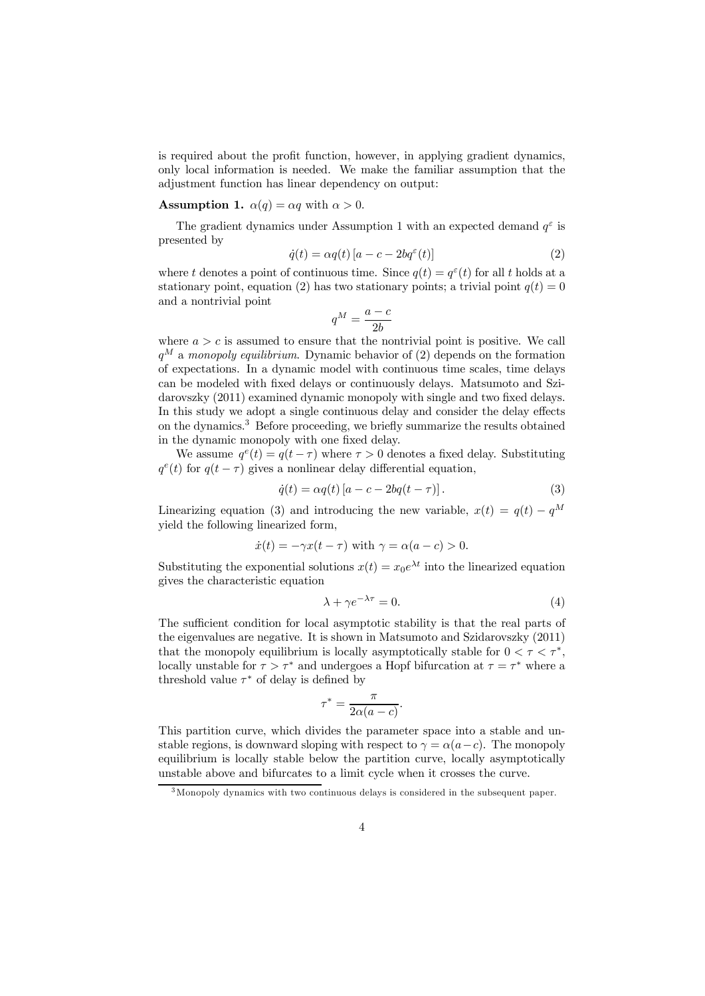is required about the profit function, however, in applying gradient dynamics, only local information is needed. We make the familiar assumption that the adjustment function has linear dependency on output:

#### **Assumption 1.**  $\alpha(q) = \alpha q$  with  $\alpha > 0$ .

The gradient dynamics under Assumption 1 with an expected demand  $q^{\varepsilon}$  is presented by

$$
\dot{q}(t) = \alpha q(t) \left[ a - c - 2b q^{\varepsilon}(t) \right]
$$
\n(2)

where t denotes a point of continuous time. Since  $q(t) = q^{\varepsilon}(t)$  for all t holds at a stationary point, equation (2) has two stationary points; a trivial point  $q(t) = 0$ and a nontrivial point

$$
q^M = \frac{a - c}{2b}
$$

where  $a > c$  is assumed to ensure that the nontrivial point is positive. We call  $q^M$  a *monopoly equilibrium*. Dynamic behavior of (2) depends on the formation of expectations. In a dynamic model with continuous time scales, time delays can be modeled with fixed delays or continuously delays. Matsumoto and Szidarovszky (2011) examined dynamic monopoly with single and two fixed delays. In this study we adopt a single continuous delay and consider the delay effects on the dynamics.<sup>3</sup> Before proceeding, we briefly summarize the results obtained in the dynamic monopoly with one fixed delay.

We assume  $q^{e}(t) = q(t - \tau)$  where  $\tau > 0$  denotes a fixed delay. Substituting  $q^e(t)$  for  $q(t - \tau)$  gives a nonlinear delay differential equation,

$$
\dot{q}(t) = \alpha q(t) \left[ a - c - 2bq(t - \tau) \right]. \tag{3}
$$

Linearizing equation (3) and introducing the new variable,  $x(t) = q(t) - q^M$ yield the following linearized form,

$$
\dot{x}(t) = -\gamma x(t-\tau) \text{ with } \gamma = \alpha(a-c) > 0.
$$

Substituting the exponential solutions  $x(t) = x_0 e^{\lambda t}$  into the linearized equation gives the characteristic equation

$$
\lambda + \gamma e^{-\lambda \tau} = 0. \tag{4}
$$

The sufficient condition for local asymptotic stability is that the real parts of the eigenvalues are negative. It is shown in Matsumoto and Szidarovszky (2011) that the monopoly equilibrium is locally asymptotically stable for  $0 < \tau < \tau^*$ , locally unstable for  $\tau > \tau^*$  and undergoes a Hopf bifurcation at  $\tau = \tau^*$  where a threshold value  $\tau^*$  of delay is defined by

$$
\tau^* = \frac{\pi}{2\alpha(a-c)}.
$$

This partition curve, which divides the parameter space into a stable and unstable regions, is downward sloping with respect to  $\gamma = \alpha(a-c)$ . The monopoly equilibrium is locally stable below the partition curve, locally asymptotically unstable above and bifurcates to a limit cycle when it crosses the curve.

<sup>3</sup>Monopoly dynamics with two continuous delays is considered in the subsequent paper.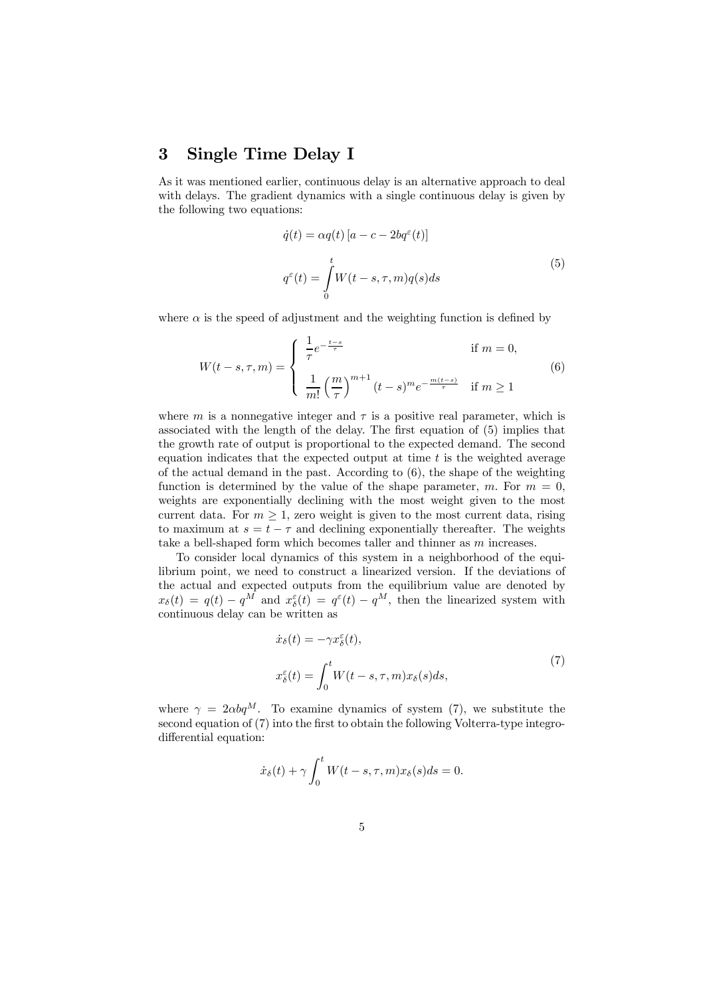# 3 Single Time Delay I

As it was mentioned earlier, continuous delay is an alternative approach to deal with delays. The gradient dynamics with a single continuous delay is given by the following two equations:

$$
\dot{q}(t) = \alpha q(t) [a - c - 2bq^{\epsilon}(t)]
$$
  

$$
q^{\epsilon}(t) = \int_{0}^{t} W(t - s, \tau, m)q(s)ds
$$
 (5)

where  $\alpha$  is the speed of adjustment and the weighting function is defined by

$$
W(t-s,\tau,m) = \begin{cases} \frac{1}{\tau} e^{-\frac{t-s}{\tau}} & \text{if } m = 0, \\ \frac{1}{m!} \left(\frac{m}{\tau}\right)^{m+1} (t-s)^m e^{-\frac{m(t-s)}{\tau}} & \text{if } m \ge 1 \end{cases}
$$
(6)

where m is a nonnegative integer and  $\tau$  is a positive real parameter, which is associated with the length of the delay. The first equation of (5) implies that the growth rate of output is proportional to the expected demand. The second equation indicates that the expected output at time  $t$  is the weighted average of the actual demand in the past. According to (6), the shape of the weighting function is determined by the value of the shape parameter,  $m$ . For  $m = 0$ , weights are exponentially declining with the most weight given to the most current data. For  $m \geq 1$ , zero weight is given to the most current data, rising to maximum at  $s = t - \tau$  and declining exponentially thereafter. The weights take a bell-shaped form which becomes taller and thinner as  $m$  increases.

To consider local dynamics of this system in a neighborhood of the equilibrium point, we need to construct a linearized version. If the deviations of the actual and expected outputs from the equilibrium value are denoted by  $x_{\delta}(t) = q(t) - q^M$  and  $x_{\delta}^{\varepsilon}(t) = q^{\varepsilon}(t) - q^M$ , then the linearized system with continuous delay can be written as

$$
\dot{x}_{\delta}(t) = -\gamma x_{\delta}^{\varepsilon}(t),
$$
\n
$$
x_{\delta}^{\varepsilon}(t) = \int_{0}^{t} W(t - s, \tau, m) x_{\delta}(s) ds,
$$
\n(7)

where  $\gamma = 2 \alpha b q^M$ . To examine dynamics of system (7), we substitute the second equation of (7) into the first to obtain the following Volterra-type integrodifferential equation:

$$
\dot{x}_{\delta}(t) + \gamma \int_0^t W(t - s, \tau, m) x_{\delta}(s) ds = 0.
$$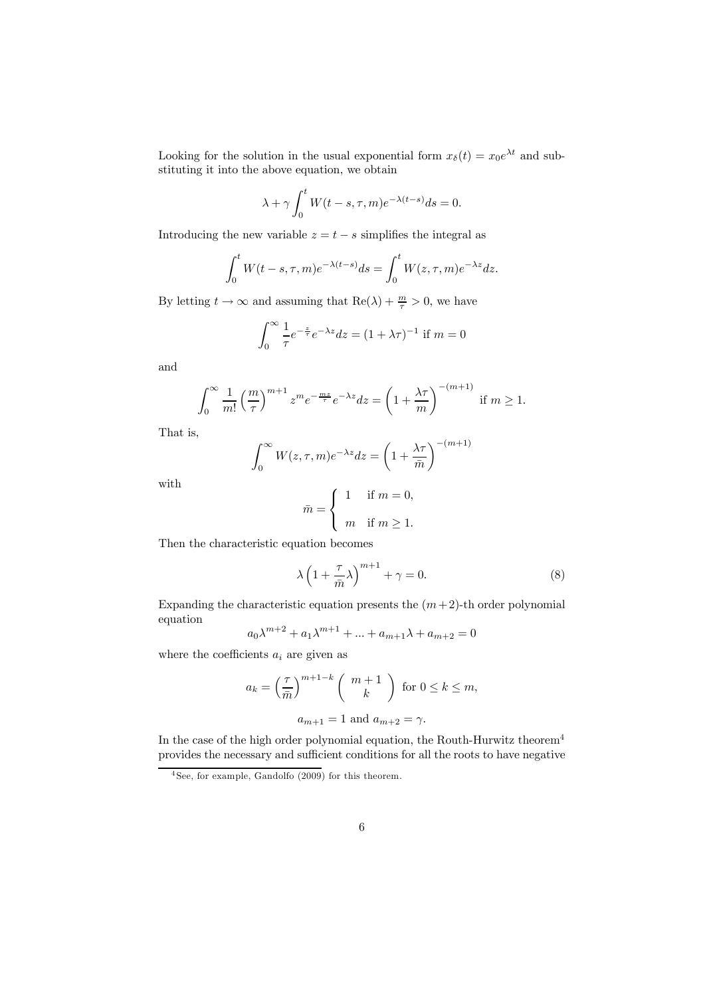Looking for the solution in the usual exponential form  $x_{\delta}(t) = x_0 e^{\lambda t}$  and substituting it into the above equation, we obtain

$$
\lambda + \gamma \int_0^t W(t - s, \tau, m) e^{-\lambda (t - s)} ds = 0.
$$

Introducing the new variable  $z = t - s$  simplifies the integral as

$$
\int_0^t W(t-s,\tau,m)e^{-\lambda(t-s)}ds = \int_0^t W(z,\tau,m)e^{-\lambda z}dz.
$$

By letting  $t \to \infty$  and assuming that  $\text{Re}(\lambda) + \frac{m}{\tau} > 0$ , we have

$$
\int_0^\infty \frac{1}{\tau} e^{-\frac{z}{\tau}} e^{-\lambda z} dz = (1 + \lambda \tau)^{-1}
$$
 if  $m = 0$ 

and

$$
\int_0^\infty \frac{1}{m!} \left(\frac{m}{\tau}\right)^{m+1} z^m e^{-\frac{mz}{\tau}} e^{-\lambda z} dz = \left(1 + \frac{\lambda \tau}{m}\right)^{-(m+1)} \text{ if } m \ge 1.
$$

That is,

$$
\int_0^\infty W(z,\tau,m)e^{-\lambda z}dz = \left(1 + \frac{\lambda \tau}{\bar{m}}\right)^{-(m+1)}
$$

with

$$
\bar{m} = \begin{cases} 1 & \text{if } m = 0, \\ m & \text{if } m \ge 1. \end{cases}
$$

Then the characteristic equation becomes

$$
\lambda \left( 1 + \frac{\tau}{\bar{m}} \lambda \right)^{m+1} + \gamma = 0. \tag{8}
$$

Expanding the characteristic equation presents the  $(m+2)$ -th order polynomial equation

$$
a_0 \lambda^{m+2} + a_1 \lambda^{m+1} + \dots + a_{m+1} \lambda + a_{m+2} = 0
$$

where the coefficients  $a_i$  are given as

$$
a_k = \left(\frac{\tau}{\bar{m}}\right)^{m+1-k} \left(\begin{array}{c} m+1\\k \end{array}\right) \text{ for } 0 \le k \le m,
$$
  

$$
a_{m+1} = 1 \text{ and } a_{m+2} = \gamma.
$$

In the case of the high order polynomial equation, the Routh-Hurwitz theorem<sup>4</sup> provides the necessary and sufficient conditions for all the roots to have negative

 $4$  See, for example, Gandolfo  $(2009)$  for this theorem.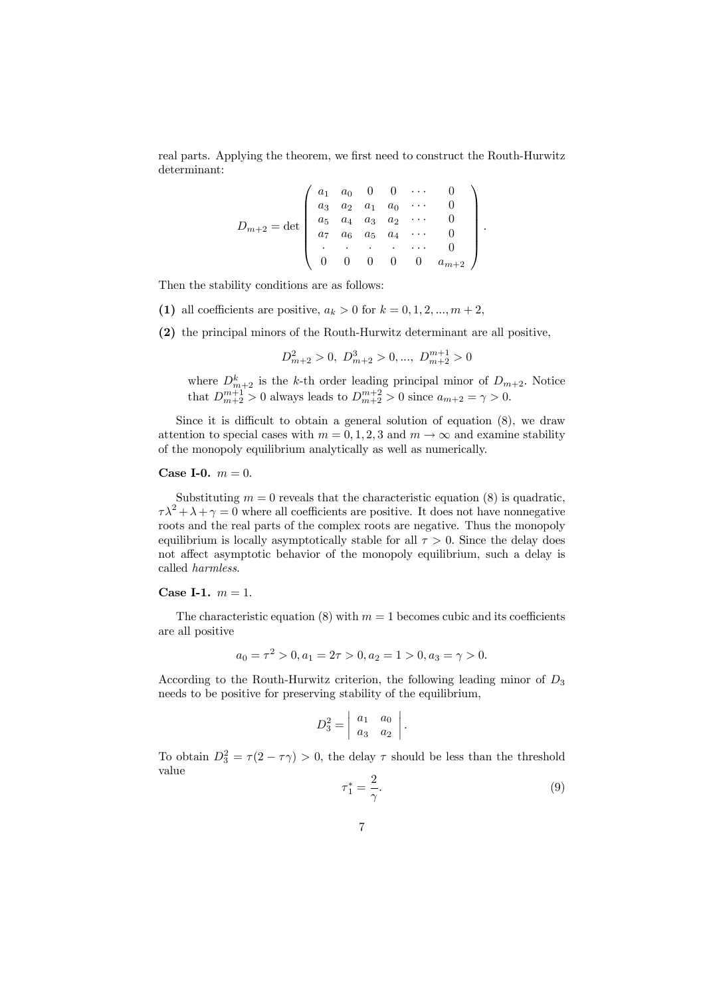real parts. Applying the theorem, we first need to construct the Routh-Hurwitz determinant:

$$
D_{m+2} = \det \left( \begin{array}{cccccc} a_1 & a_0 & 0 & 0 & \cdots & 0 \\ a_3 & a_2 & a_1 & a_0 & \cdots & 0 \\ a_5 & a_4 & a_3 & a_2 & \cdots & 0 \\ a_7 & a_6 & a_5 & a_4 & \cdots & 0 \\ \vdots & \vdots & \vdots & \ddots & \vdots & \vdots \\ 0 & 0 & 0 & 0 & 0 & a_{m+2} \end{array} \right).
$$

Then the stability conditions are as follows:

- (1) all coefficients are positive,  $a_k > 0$  for  $k = 0, 1, 2, ..., m + 2$ ,
- (2) the principal minors of the Routh-Hurwitz determinant are all positive,

$$
D_{m+2}^2 > 0, D_{m+2}^3 > 0, ..., D_{m+2}^{m+1} > 0
$$

where  $D_{m+2}^k$  is the k-th order leading principal minor of  $D_{m+2}$ . Notice that  $D_{m+2}^{m+1} > 0$  always leads to  $D_{m+2}^{m+2} > 0$  since  $a_{m+2} = \gamma > 0$ .

Since it is difficult to obtain a general solution of equation (8), we draw attention to special cases with  $m = 0, 1, 2, 3$  and  $m \to \infty$  and examine stability of the monopoly equilibrium analytically as well as numerically.

### **Case I-0.**  $m = 0$ .

Substituting  $m = 0$  reveals that the characteristic equation (8) is quadratic,  $\tau \lambda^2 + \lambda + \gamma = 0$  where all coefficients are positive. It does not have nonnegative roots and the real parts of the complex roots are negative. Thus the monopoly equilibrium is locally asymptotically stable for all  $\tau > 0$ . Since the delay does not affect asymptotic behavior of the monopoly equilibrium, such a delay is called *harmless*.

#### Case I-1.  $m = 1$ .

The characteristic equation (8) with  $m = 1$  becomes cubic and its coefficients are all positive

$$
a_0 = \tau^2 > 0, a_1 = 2\tau > 0, a_2 = 1 > 0, a_3 = \gamma > 0.
$$

According to the Routh-Hurwitz criterion, the following leading minor of  $D_3$ needs to be positive for preserving stability of the equilibrium,

$$
D_3^2 = \begin{vmatrix} a_1 & a_0 \\ a_3 & a_2 \end{vmatrix}.
$$

To obtain  $D_3^2 = \tau(2 - \tau \gamma) > 0$ , the delay  $\tau$  should be less than the threshold value

$$
\tau_1^* = \frac{2}{\gamma}.\tag{9}
$$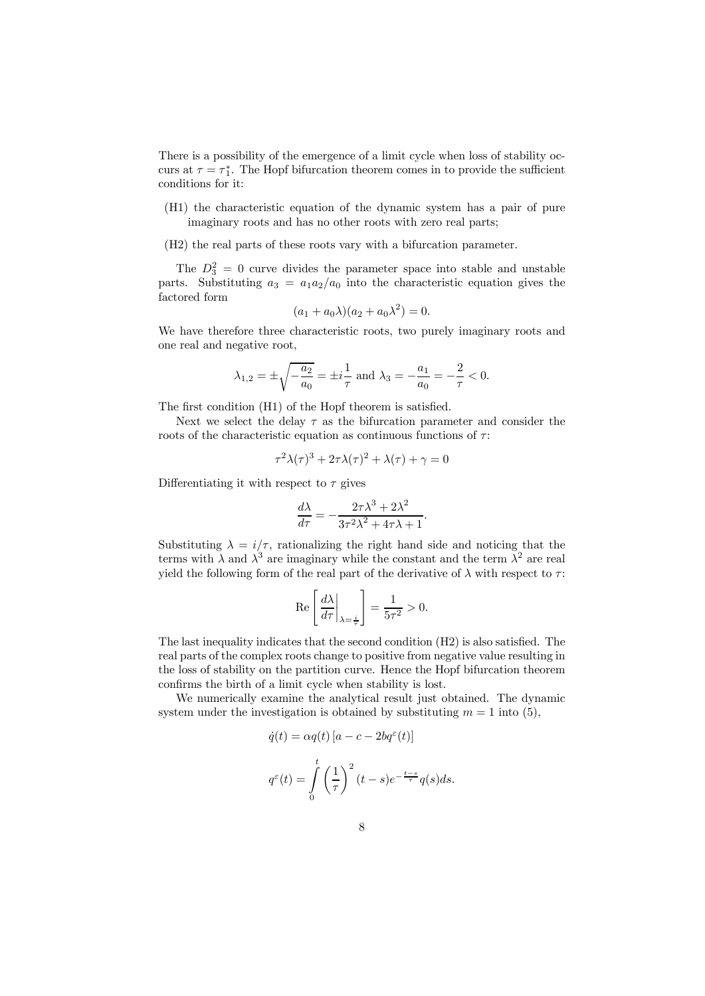There is a possibility of the emergence of a limit cycle when loss of stability occurs at  $\tau = \tau_1^*$ . The Hopf bifurcation theorem comes in to provide the sufficient conditions for it:

- (H1) the characteristic equation of the dynamic system has a pair of pure imaginary roots and has no other roots with zero real parts;
- (H2) the real parts of these roots vary with a bifurcation parameter.

The  $D_3^2 = 0$  curve divides the parameter space into stable and unstable parts. Substituting  $a_3 = a_1 a_2/a_0$  into the characteristic equation gives the factored form

$$
(a_1 + a_0 \lambda)(a_2 + a_0 \lambda^2) = 0.
$$

We have therefore three characteristic roots, two purely imaginary roots and one real and negative root,

$$
\lambda_{1,2} = \pm \sqrt{-\frac{a_2}{a_0}} = \pm i \frac{1}{\tau}
$$
 and  $\lambda_3 = -\frac{a_1}{a_0} = -\frac{2}{\tau} < 0$ .

The first condition (H1) of the Hopf theorem is satisfied.

Next we select the delay  $\tau$  as the bifurcation parameter and consider the roots of the characteristic equation as continuous functions of  $\tau$ :

$$
\tau^2 \lambda(\tau)^3 + 2\tau \lambda(\tau)^2 + \lambda(\tau) + \gamma = 0
$$

Differentiating it with respect to  $\tau$  gives

$$
\frac{d\lambda}{d\tau} = -\frac{2\tau\lambda^3 + 2\lambda^2}{3\tau^2\lambda^2 + 4\tau\lambda + 1}.
$$

Substituting  $\lambda = i/\tau$ , rationalizing the right hand side and noticing that the terms with  $\lambda$  and  $\lambda^3$  are imaginary while the constant and the term  $\lambda^2$  are real yield the following form of the real part of the derivative of  $\lambda$  with respect to  $\tau$ :

$$
\operatorname{Re}\left[\left.\frac{d\lambda}{d\tau}\right|_{\lambda=\frac{i}{\tau}}\right] = \frac{1}{5\tau^2} > 0.
$$

The last inequality indicates that the second condition (H2) is also satisfied. The real parts of the complex roots change to positive from negative value resulting in the loss of stability on the partition curve. Hence the Hopf bifurcation theorem confirms the birth of a limit cycle when stability is lost.

We numerically examine the analytical result just obtained. The dynamic system under the investigation is obtained by substituting  $m = 1$  into (5),

$$
\dot{q}(t) = \alpha q(t) [a - c - 2bq^{\varepsilon}(t)]
$$

$$
q^{\varepsilon}(t) = \int_{0}^{t} \left(\frac{1}{\tau}\right)^{2} (t - s)e^{-\frac{t - s}{\tau}} q(s)ds.
$$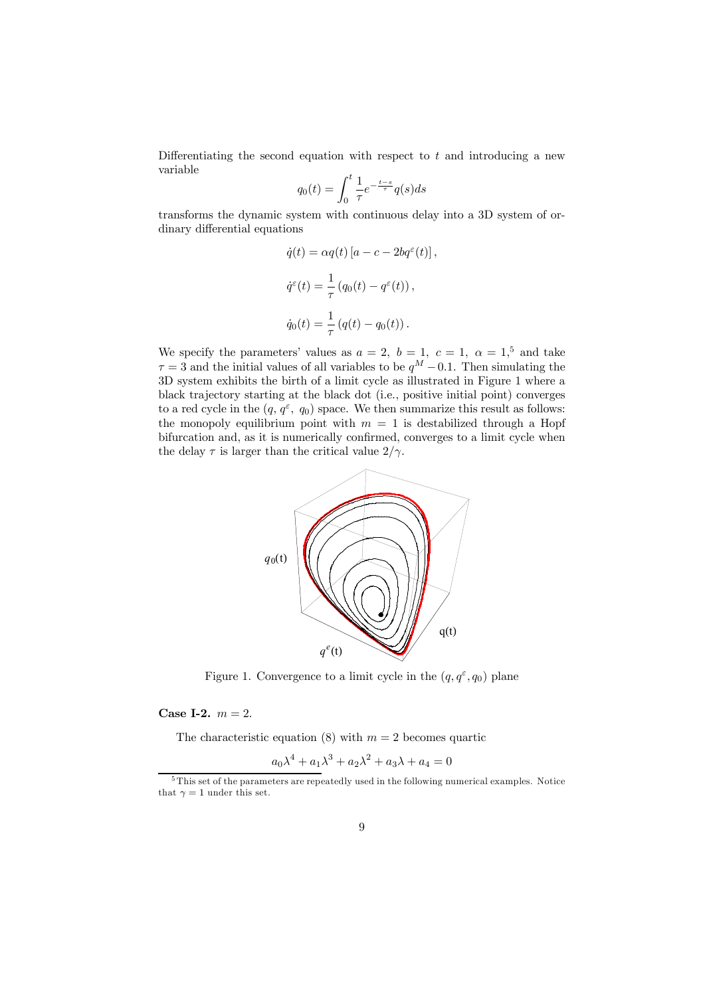Differentiating the second equation with respect to  $t$  and introducing a new variable

$$
q_0(t) = \int_0^t \frac{1}{\tau} e^{-\frac{t-s}{\tau}} q(s) ds
$$

transforms the dynamic system with continuous delay into a 3D system of ordinary differential equations

$$
\dot{q}(t) = \alpha q(t) [a - c - 2bq^{\epsilon}(t)],
$$
  

$$
\dot{q}^{\epsilon}(t) = \frac{1}{\tau} (q_0(t) - q^{\epsilon}(t)),
$$
  

$$
\dot{q}_0(t) = \frac{1}{\tau} (q(t) - q_0(t)).
$$

We specify the parameters' values as  $a = 2$ ,  $b = 1$ ,  $c = 1$ ,  $\alpha = 1$ ,  $\alpha$  $\tau = 3$  and the initial values of all variables to be  $q^M - 0.1$ . Then simulating the 3D system exhibits the birth of a limit cycle as illustrated in Figure 1 where a black trajectory starting at the black dot (i.e., positive initial point) converges to a red cycle in the  $(q, q^{\varepsilon}, q_0)$  space. We then summarize this result as follows: the monopoly equilibrium point with  $m = 1$  is destabilized through a Hopf bifurcation and, as it is numerically confirmed, converges to a limit cycle when the delay  $\tau$  is larger than the critical value  $2/\gamma$ .



Figure 1. Convergence to a limit cycle in the  $(q, q^{\varepsilon}, q_0)$  plane

### **Case I-2.**  $m = 2$ .

The characteristic equation (8) with  $m = 2$  becomes quartic

$$
a_0 \lambda^4 + a_1 \lambda^3 + a_2 \lambda^2 + a_3 \lambda + a_4 = 0
$$

<sup>5</sup> This set of the parameters are repeatedly used in the following numerical examples. Notice that  $\gamma = 1$  under this set.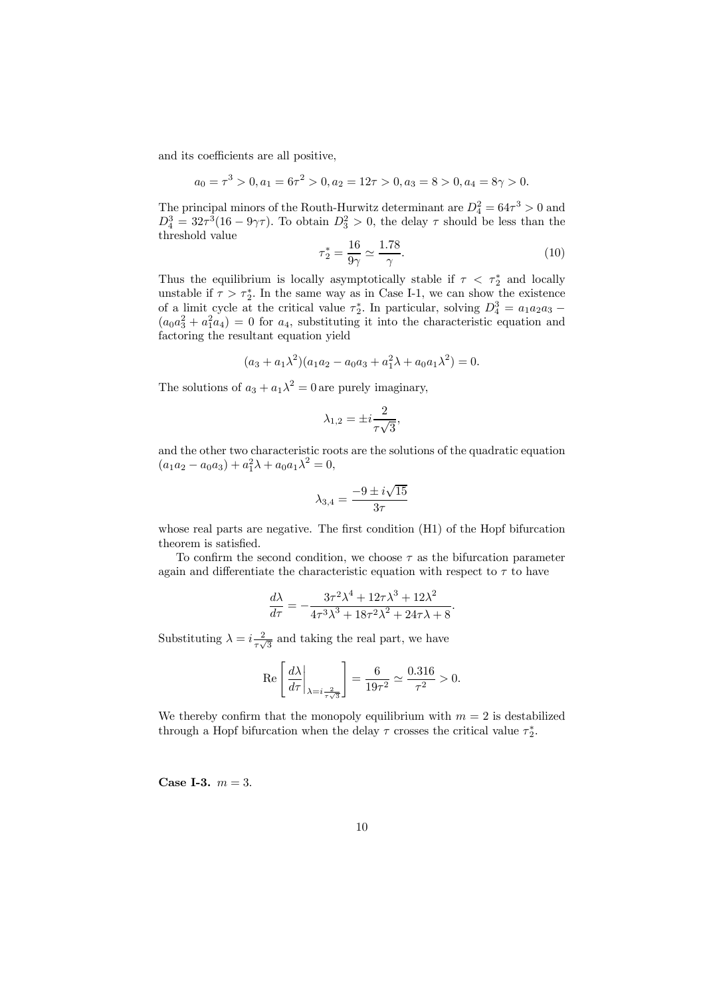and its coefficients are all positive,

$$
a_0 = \tau^3 > 0, a_1 = 6\tau^2 > 0, a_2 = 12\tau > 0, a_3 = 8 > 0, a_4 = 8\gamma > 0.
$$

The principal minors of the Routh-Hurwitz determinant are  $D_4^2 = 64\tau^3 > 0$  and  $D_4^3 = 32\tau^3(16 - 9\gamma\tau)$ . To obtain  $D_3^2 > 0$ , the delay  $\tau$  should be less than the threshold value

$$
\tau_2^* = \frac{16}{9\gamma} \simeq \frac{1.78}{\gamma}.\tag{10}
$$

Thus the equilibrium is locally asymptotically stable if  $\tau < \tau_2^*$  and locally unstable if  $\tau > \tau_2^*$ . In the same way as in Case I-1, we can show the existence of a limit cycle at the critical value  $\tau_2^*$ . In particular, solving  $D_4^3 = a_1 a_2 a_3 - a_1 a_2 a_3$  $(a_0a_3^2 + a_1^2a_4) = 0$  for  $a_4$ , substituting it into the characteristic equation and factoring the resultant equation yield

$$
(a_3 + a_1\lambda^2)(a_1a_2 - a_0a_3 + a_1^2\lambda + a_0a_1\lambda^2) = 0.
$$

The solutions of  $a_3 + a_1 \lambda^2 = 0$  are purely imaginary,

$$
\lambda_{1,2} = \pm i \frac{2}{\tau \sqrt{3}},
$$

and the other two characteristic roots are the solutions of the quadratic equation  $(a_1a_2 - a_0a_3) + a_1^2\lambda + a_0a_1\lambda^2 = 0,$ 

$$
\lambda_{3,4}=\frac{-9\pm i\sqrt{15}}{3\tau}
$$

whose real parts are negative. The first condition (H1) of the Hopf bifurcation theorem is satisfied.

To confirm the second condition, we choose  $\tau$  as the bifurcation parameter again and differentiate the characteristic equation with respect to  $\tau$  to have

$$
\frac{d\lambda}{d\tau} = -\frac{3\tau^2\lambda^4 + 12\tau\lambda^3 + 12\lambda^2}{4\tau^3\lambda^3 + 18\tau^2\lambda^2 + 24\tau\lambda + 8}.
$$

Substituting  $\lambda = i \frac{2}{\pi}$  $\frac{2}{\tau\sqrt{3}}$  and taking the real part, we have

$$
\operatorname{Re}\left[\left.\frac{d\lambda}{d\tau}\right|_{\lambda=i\frac{2}{\tau\sqrt{3}}}\right] = \frac{6}{19\tau^2} \simeq \frac{0.316}{\tau^2} > 0.
$$

We thereby confirm that the monopoly equilibrium with  $m = 2$  is destabilized through a Hopf bifurcation when the delay  $\tau$  crosses the critical value  $\tau_2^*$ .

**Case I-3.**  $m = 3$ .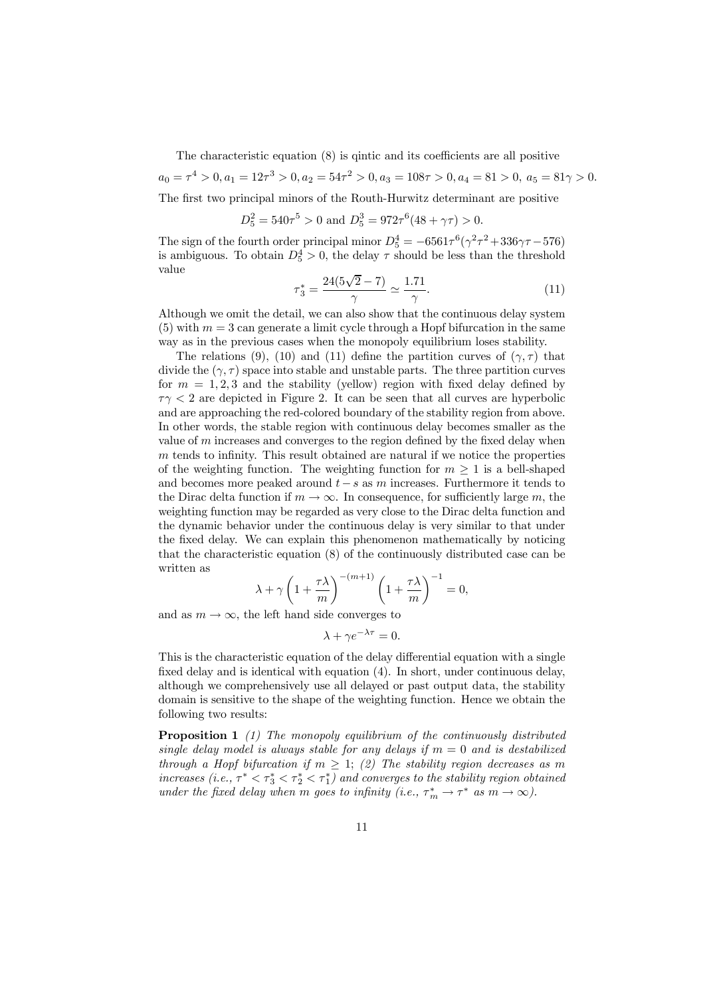The characteristic equation (8) is qintic and its coefficients are all positive

 $a_0 = \tau^4 > 0, a_1 = 12\tau^3 > 0, a_2 = 54\tau^2 > 0, a_3 = 108\tau > 0, a_4 = 81 > 0, a_5 = 81\gamma > 0.$ 

The first two principal minors of the Routh-Hurwitz determinant are positive

 $D_5^2 = 540\tau^5 > 0$  and  $D_5^3 = 972\tau^6(48 + \gamma\tau) > 0$ .

The sign of the fourth order principal minor  $D_5^4 = -6561\tau^6(\gamma^2\tau^2 + 336\gamma\tau - 576)$ is ambiguous. To obtain  $D_5^4 > 0$ , the delay  $\tau$  should be less than the threshold value

$$
\tau_3^* = \frac{24(5\sqrt{2} - 7)}{\gamma} \simeq \frac{1.71}{\gamma}.
$$
\n(11)

Although we omit the detail, we can also show that the continuous delay system  $(5)$  with  $m = 3$  can generate a limit cycle through a Hopf bifurcation in the same way as in the previous cases when the monopoly equilibrium loses stability.

The relations (9), (10) and (11) define the partition curves of  $(\gamma, \tau)$  that divide the  $(\gamma, \tau)$  space into stable and unstable parts. The three partition curves for  $m = 1, 2, 3$  and the stability (yellow) region with fixed delay defined by  $\tau$  $\gamma$  < 2 are depicted in Figure 2. It can be seen that all curves are hyperbolic and are approaching the red-colored boundary of the stability region from above. In other words, the stable region with continuous delay becomes smaller as the value of  $m$  increases and converges to the region defined by the fixed delay when m tends to infinity. This result obtained are natural if we notice the properties of the weighting function. The weighting function for  $m \geq 1$  is a bell-shaped and becomes more peaked around  $t - s$  as m increases. Furthermore it tends to the Dirac delta function if  $m \to \infty$ . In consequence, for sufficiently large m, the weighting function may be regarded as very close to the Dirac delta function and the dynamic behavior under the continuous delay is very similar to that under the fixed delay. We can explain this phenomenon mathematically by noticing that the characteristic equation (8) of the continuously distributed case can be written as

$$
\lambda + \gamma \left( 1 + \frac{\tau \lambda}{m} \right)^{-(m+1)} \left( 1 + \frac{\tau \lambda}{m} \right)^{-1} = 0,
$$

and as  $m \to \infty$ , the left hand side converges to

 $\lambda + \gamma e^{-\lambda \tau} = 0.$ 

This is the characteristic equation of the delay differential equation with a single fixed delay and is identical with equation (4). In short, under continuous delay, although we comprehensively use all delayed or past output data, the stability domain is sensitive to the shape of the weighting function. Hence we obtain the following two results:

Proposition 1 *(1) The monopoly equilibrium of the continuously distributed single delay model is always stable for any delays if* m = 0 *and is destabilized through a Hopf bifurcation if*  $m \geq 1$ ; (2) The stability region decreases as m *increases (i.e.,*  $\tau^* < \tau_3^* < \tau_2^* < \tau_1^*$ ) and converges to the stability region obtained *under the fixed delay when m goes to infinity (i.e.,*  $\tau_m^* \to \tau^*$  *as*  $m \to \infty$ ).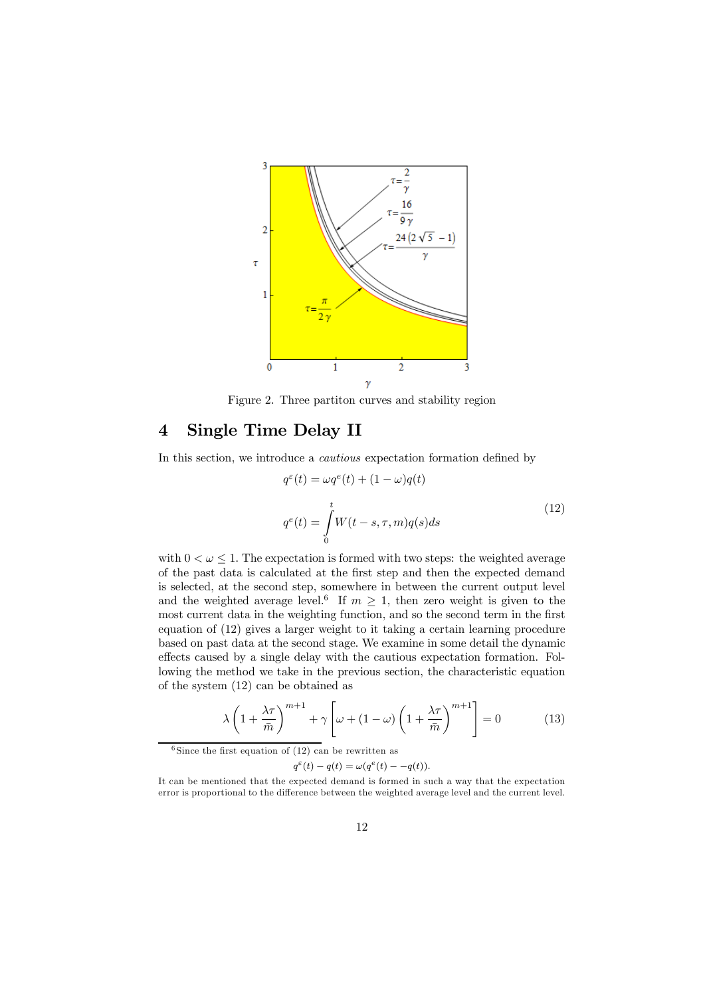

Figure 2. Three partiton curves and stability region

### 4 Single Time Delay II

In this section, we introduce a *cautious* expectation formation defined by

$$
q^{\varepsilon}(t) = \omega q^e(t) + (1 - \omega)q(t)
$$
  
\n
$$
q^e(t) = \int_0^t W(t - s, \tau, m)q(s)ds
$$
\n(12)

with  $0 < \omega \leq 1$ . The expectation is formed with two steps: the weighted average of the past data is calculated at the first step and then the expected demand is selected, at the second step, somewhere in between the current output level and the weighted average level.<sup>6</sup> If  $m \geq 1$ , then zero weight is given to the most current data in the weighting function, and so the second term in the first equation of (12) gives a larger weight to it taking a certain learning procedure based on past data at the second stage. We examine in some detail the dynamic effects caused by a single delay with the cautious expectation formation. Following the method we take in the previous section, the characteristic equation of the system (12) can be obtained as

$$
\lambda \left( 1 + \frac{\lambda \tau}{\bar{m}} \right)^{m+1} + \gamma \left[ \omega + (1 - \omega) \left( 1 + \frac{\lambda \tau}{\bar{m}} \right)^{m+1} \right] = 0 \tag{13}
$$

<sup>6</sup> Since the first equation of  $(12)$  can be rewritten as

 $q^{\varepsilon}(t) - q(t) = \omega(q^e(t) - -q(t)).$ 

It can be mentioned that the expected demand is formed in such a way that the expectation error is proportional to the difference between the weighted average level and the current level.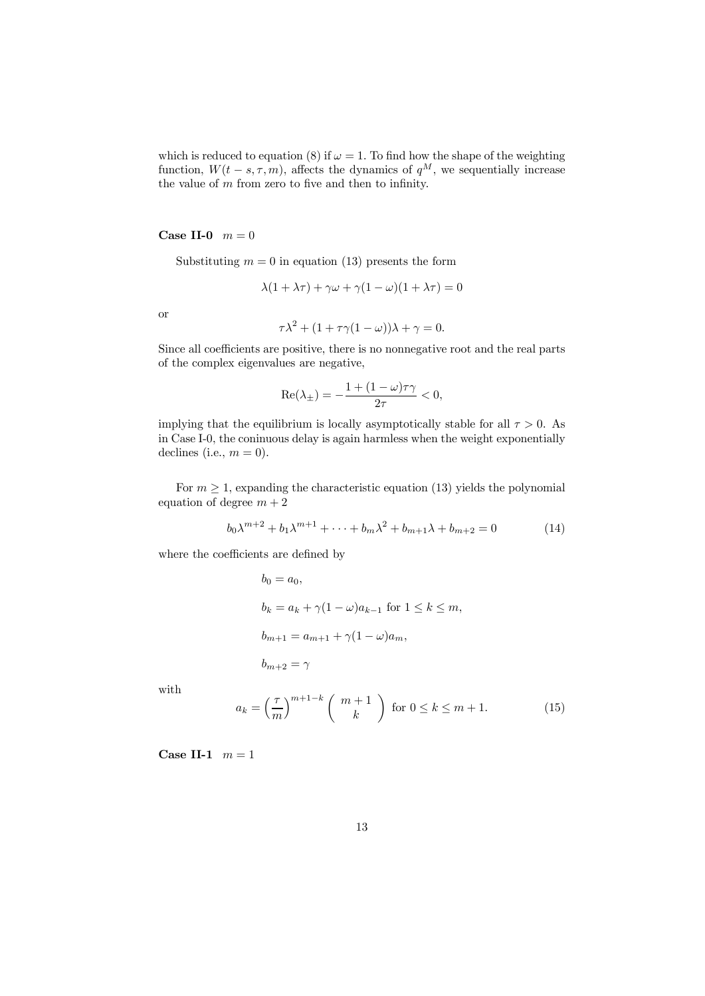which is reduced to equation (8) if  $\omega = 1$ . To find how the shape of the weighting function,  $W(t - s, \tau, m)$ , affects the dynamics of  $q^M$ , we sequentially increase the value of  $m$  from zero to five and then to infinity.

Case II-0  $m = 0$ 

Substituting  $m = 0$  in equation (13) presents the form

$$
\lambda(1 + \lambda \tau) + \gamma \omega + \gamma (1 - \omega)(1 + \lambda \tau) = 0
$$

or

$$
\tau \lambda^2 + (1 + \tau \gamma (1 - \omega))\lambda + \gamma = 0.
$$

Since all coefficients are positive, there is no nonnegative root and the real parts of the complex eigenvalues are negative,

$$
\operatorname{Re}(\lambda_{\pm}) = -\frac{1 + (1 - \omega)\tau\gamma}{2\tau} < 0,
$$

implying that the equilibrium is locally asymptotically stable for all  $\tau > 0$ . As in Case I-0, the coninuous delay is again harmless when the weight exponentially declines (i.e.,  $m = 0$ ).

For  $m > 1$ , expanding the characteristic equation (13) yields the polynomial equation of degree  $m + 2$ 

$$
b_0 \lambda^{m+2} + b_1 \lambda^{m+1} + \dots + b_m \lambda^2 + b_{m+1} \lambda + b_{m+2} = 0
$$
 (14)

where the coefficients are defined by

$$
b_0 = a_0,
$$
  
\n
$$
b_k = a_k + \gamma (1 - \omega) a_{k-1} \text{ for } 1 \le k \le m,
$$
  
\n
$$
b_{m+1} = a_{m+1} + \gamma (1 - \omega) a_m,
$$
  
\n
$$
b_{m+2} = \gamma
$$

with

$$
a_k = \left(\frac{\tau}{m}\right)^{m+1-k} \left(\begin{array}{c} m+1\\ k \end{array}\right) \text{ for } 0 \le k \le m+1. \tag{15}
$$

Case II-1  $m = 1$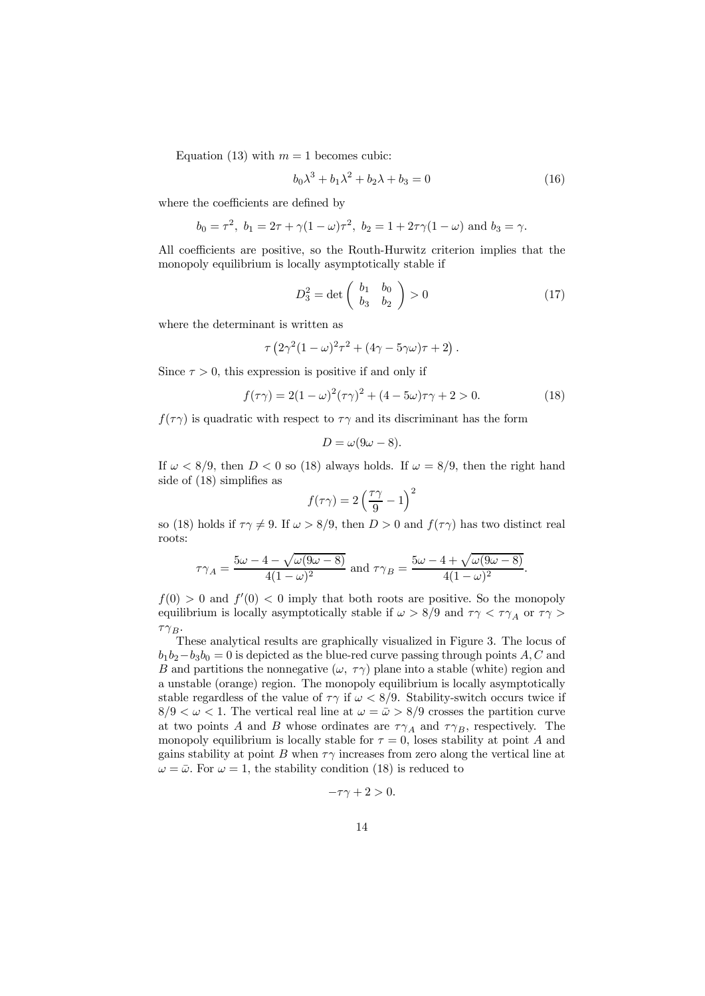Equation (13) with  $m = 1$  becomes cubic:

$$
b_0 \lambda^3 + b_1 \lambda^2 + b_2 \lambda + b_3 = 0 \tag{16}
$$

where the coefficients are defined by

$$
b_0 = \tau^2
$$
,  $b_1 = 2\tau + \gamma(1 - \omega)\tau^2$ ,  $b_2 = 1 + 2\tau\gamma(1 - \omega)$  and  $b_3 = \gamma$ .

All coefficients are positive, so the Routh-Hurwitz criterion implies that the monopoly equilibrium is locally asymptotically stable if

$$
D_3^2 = \det\left(\begin{array}{cc} b_1 & b_0 \\ b_3 & b_2 \end{array}\right) > 0\tag{17}
$$

where the determinant is written as

$$
\tau \left(2\gamma^2(1-\omega)^2\tau^2+(4\gamma-5\gamma\omega)\tau+2\right).
$$

Since  $\tau > 0$ , this expression is positive if and only if

$$
f(\tau \gamma) = 2(1 - \omega)^2 (\tau \gamma)^2 + (4 - 5\omega)\tau \gamma + 2 > 0.
$$
 (18)

 $f(\tau \gamma)$  is quadratic with respect to  $\tau \gamma$  and its discriminant has the form

$$
D=\omega(9\omega-8).
$$

If  $\omega < 8/9$ , then  $D < 0$  so (18) always holds. If  $\omega = 8/9$ , then the right hand side of (18) simplifies as  $\Omega$ 

$$
f(\tau\gamma) = 2\left(\frac{\tau\gamma}{9} - 1\right)
$$

so (18) holds if  $\tau\gamma \neq 9$ . If  $\omega > 8/9$ , then  $D > 0$  and  $f(\tau\gamma)$  has two distinct real roots:

$$
\tau\gamma_A = \frac{5\omega - 4 - \sqrt{\omega(9\omega - 8)}}{4(1 - \omega)^2}
$$
 and 
$$
\tau\gamma_B = \frac{5\omega - 4 + \sqrt{\omega(9\omega - 8)}}{4(1 - \omega)^2}.
$$

 $f(0) > 0$  and  $f'(0) < 0$  imply that both roots are positive. So the monopoly equilibrium is locally asymptotically stable if  $\omega > 8/9$  and  $\tau \gamma < \tau \gamma_A$  or  $\tau \gamma >$  $\tau\gamma_B.$ 

These analytical results are graphically visualized in Figure 3. The locus of  $b_1b_2-b_3b_0=0$  is depicted as the blue-red curve passing through points A, C and B and partitions the nonnegative  $(\omega, \tau)$  plane into a stable (white) region and a unstable (orange) region. The monopoly equilibrium is locally asymptotically stable regardless of the value of  $\tau\gamma$  if  $\omega < 8/9$ . Stability-switch occurs twice if  $8/9 < \omega < 1$ . The vertical real line at  $\omega = \bar{\omega} > 8/9$  crosses the partition curve at two points A and B whose ordinates are  $\tau \gamma_A$  and  $\tau \gamma_B$ , respectively. The monopoly equilibrium is locally stable for  $\tau = 0$ , loses stability at point A and gains stability at point B when  $\tau\gamma$  increases from zero along the vertical line at  $\omega = \bar{\omega}$ . For  $\omega = 1$ , the stability condition (18) is reduced to

$$
-\tau\gamma+2>0.
$$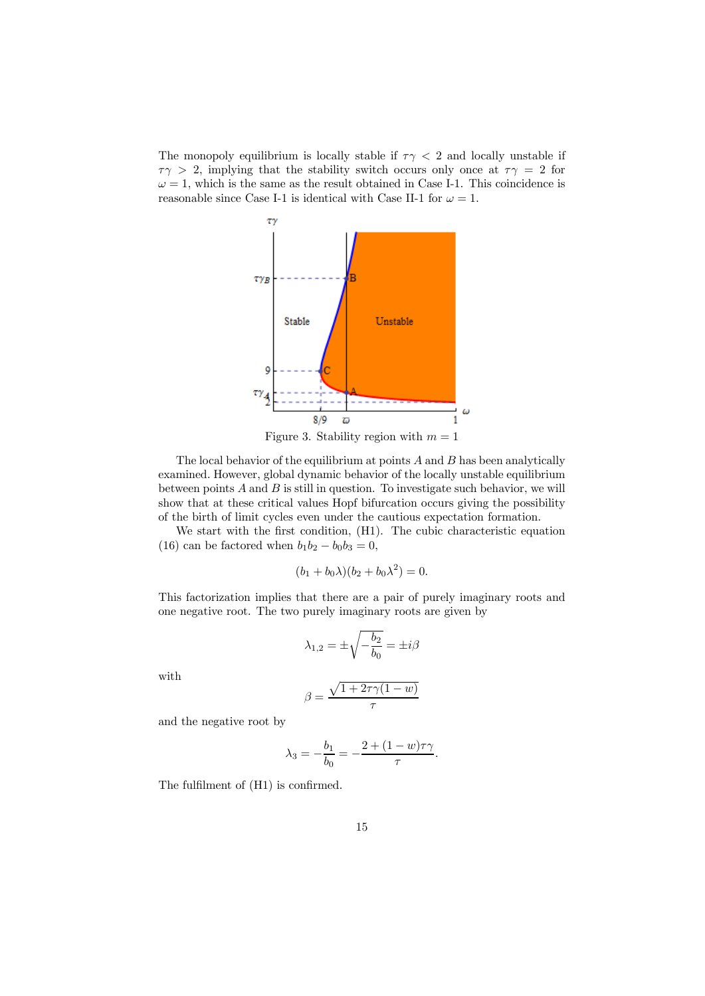The monopoly equilibrium is locally stable if  $\tau \gamma < 2$  and locally unstable if  $\tau\gamma > 2$ , implying that the stability switch occurs only once at  $\tau\gamma = 2$  for  $\omega = 1$ , which is the same as the result obtained in Case I-1. This coincidence is reasonable since Case I-1 is identical with Case II-1 for  $\omega = 1$ .



Figure 3. Stability region with  $m = 1$ 

The local behavior of the equilibrium at points  $A$  and  $B$  has been analytically examined. However, global dynamic behavior of the locally unstable equilibrium between points  $A$  and  $B$  is still in question. To investigate such behavior, we will show that at these critical values Hopf bifurcation occurs giving the possibility of the birth of limit cycles even under the cautious expectation formation.

We start with the first condition, (H1). The cubic characteristic equation (16) can be factored when  $b_1b_2 - b_0b_3 = 0$ ,

$$
(b_1 + b_0 \lambda)(b_2 + b_0 \lambda^2) = 0.
$$

This factorization implies that there are a pair of purely imaginary roots and one negative root. The two purely imaginary roots are given by

$$
\lambda_{1,2} = \pm \sqrt{-\frac{b_2}{b_0}} = \pm i\beta
$$

with

$$
\beta = \frac{\sqrt{1 + 2\tau\gamma(1 - w)}}{\tau}
$$

and the negative root by

$$
\lambda_3 = -\frac{b_1}{b_0} = -\frac{2 + (1 - w)\tau \gamma}{\tau}.
$$

The fulfilment of (H1) is confirmed.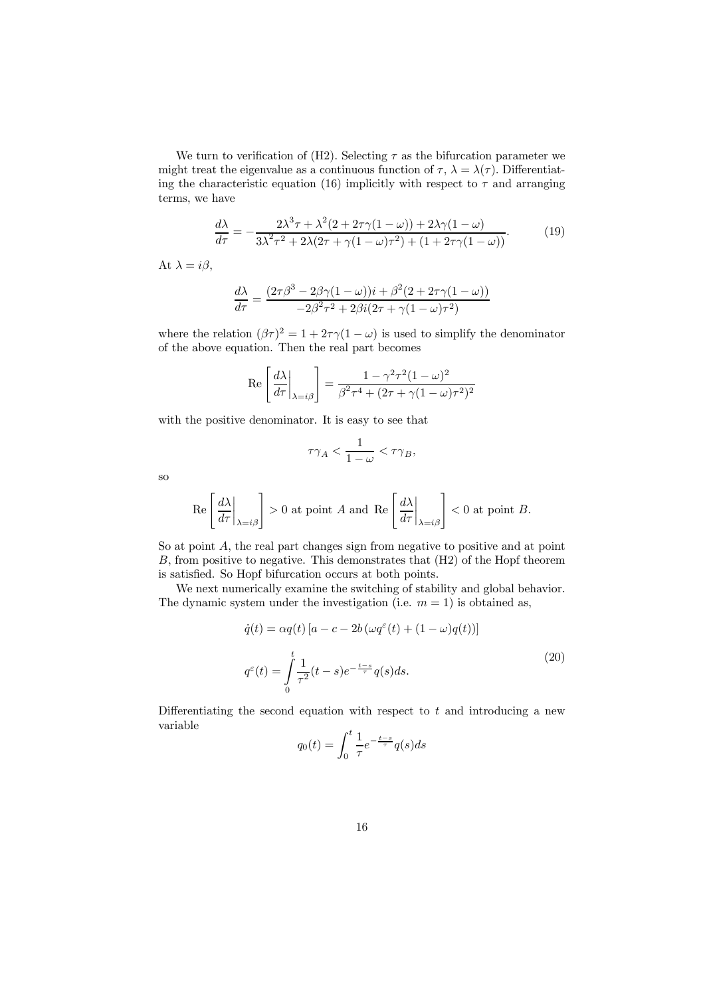We turn to verification of (H2). Selecting  $\tau$  as the bifurcation parameter we might treat the eigenvalue as a continuous function of  $\tau$ ,  $\lambda = \lambda(\tau)$ . Differentiating the characteristic equation (16) implicitly with respect to  $\tau$  and arranging terms, we have

$$
\frac{d\lambda}{d\tau} = -\frac{2\lambda^3 \tau + \lambda^2 (2 + 2\tau \gamma (1 - \omega)) + 2\lambda \gamma (1 - \omega)}{3\lambda^2 \tau^2 + 2\lambda (2\tau + \gamma (1 - \omega)\tau^2) + (1 + 2\tau \gamma (1 - \omega))}.
$$
(19)

At  $\lambda = i\beta$ ,

$$
\frac{d\lambda}{d\tau} = \frac{(2\tau\beta^3 - 2\beta\gamma(1-\omega))i + \beta^2(2 + 2\tau\gamma(1-\omega))}{-2\beta^2\tau^2 + 2\beta i(2\tau + \gamma(1-\omega)\tau^2)}
$$

where the relation  $(\beta \tau)^2 = 1 + 2\tau \gamma (1 - \omega)$  is used to simplify the denominator of the above equation. Then the real part becomes

$$
\operatorname{Re}\left[\left.\frac{d\lambda}{d\tau}\right|_{\lambda=i\beta}\right] = \frac{1-\gamma^2\tau^2(1-\omega)^2}{\beta^2\tau^4 + (2\tau+\gamma(1-\omega)\tau^2)^2}
$$

with the positive denominator. It is easy to see that

$$
\tau\gamma_A < \frac{1}{1-\omega} < \tau\gamma_B,
$$

so

$$
\operatorname{Re}\left[\left.\frac{d\lambda}{d\tau}\right|_{\lambda=i\beta}\right] > 0 \text{ at point } A \text{ and } \operatorname{Re}\left[\left.\frac{d\lambda}{d\tau}\right|_{\lambda=i\beta}\right] < 0 \text{ at point } B.
$$

So at point A, the real part changes sign from negative to positive and at point B, from positive to negative. This demonstrates that (H2) of the Hopf theorem is satisfied. So Hopf bifurcation occurs at both points.

We next numerically examine the switching of stability and global behavior. The dynamic system under the investigation (i.e.  $m = 1$ ) is obtained as,

$$
\dot{q}(t) = \alpha q(t) \left[ a - c - 2b \left( \omega q^{\varepsilon}(t) + (1 - \omega) q(t) \right) \right]
$$
  

$$
q^{\varepsilon}(t) = \int_{0}^{t} \frac{1}{\tau^2} (t - s) e^{-\frac{t - s}{\tau}} q(s) ds.
$$
 (20)

Differentiating the second equation with respect to  $t$  and introducing a new variable

$$
q_0(t) = \int_0^t \frac{1}{\tau} e^{-\frac{t-s}{\tau}} q(s) ds
$$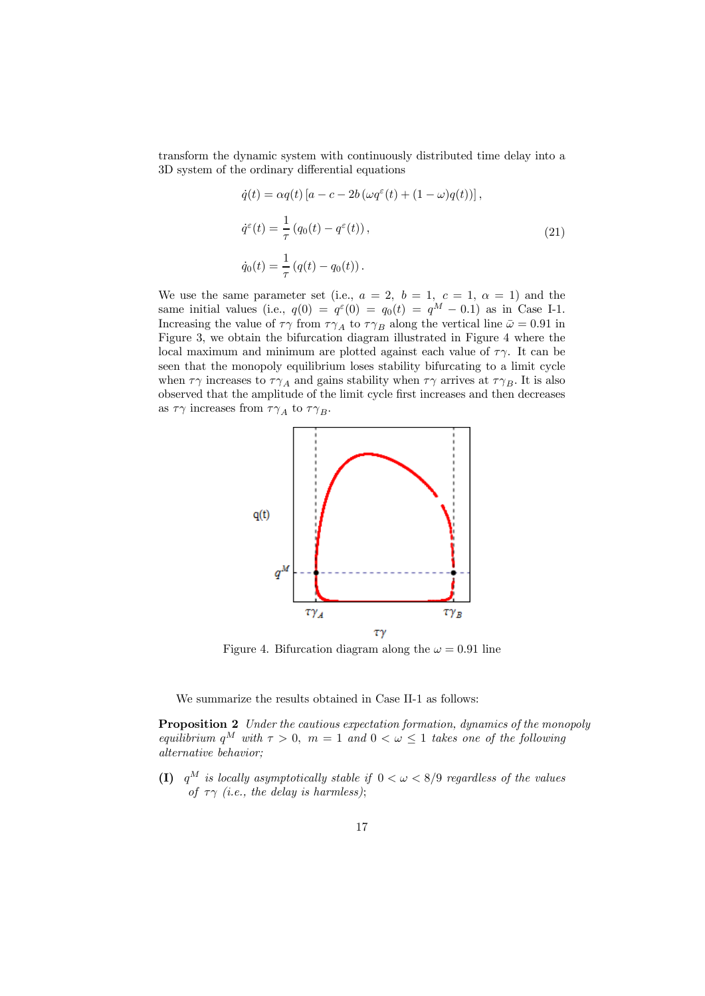transform the dynamic system with continuously distributed time delay into a 3D system of the ordinary differential equations

$$
\dot{q}(t) = \alpha q(t) \left[ a - c - 2b \left( \omega q^{\varepsilon}(t) + (1 - \omega) q(t) \right) \right],
$$
  
\n
$$
\dot{q}^{\varepsilon}(t) = \frac{1}{\tau} \left( q_0(t) - q^{\varepsilon}(t) \right),
$$
  
\n
$$
\dot{q}_0(t) = \frac{1}{\tau} \left( q(t) - q_0(t) \right).
$$
\n(21)

We use the same parameter set (i.e.,  $a = 2$ ,  $b = 1$ ,  $c = 1$ ,  $\alpha = 1$ ) and the same initial values (i.e.,  $q(0) = q^{\varepsilon}(0) = q_0(t) = q^M - 0.1$ ) as in Case I-1. Increasing the value of  $\tau\gamma$  from  $\tau\gamma_A$  to  $\tau\gamma_B$  along the vertical line  $\bar{\omega}=0.91$  in Figure 3, we obtain the bifurcation diagram illustrated in Figure 4 where the local maximum and minimum are plotted against each value of  $\tau \gamma$ . It can be seen that the monopoly equilibrium loses stability bifurcating to a limit cycle when  $\tau\gamma$  increases to  $\tau\gamma_A$  and gains stability when  $\tau\gamma$  arrives at  $\tau\gamma_B$ . It is also observed that the amplitude of the limit cycle first increases and then decreases as  $\tau\gamma$  increases from  $\tau\gamma_A$  to  $\tau\gamma_B$ .



Figure 4. Bifurcation diagram along the  $\omega = 0.91$  line

We summarize the results obtained in Case II-1 as follows:

Proposition 2 *Under the cautious expectation formation, dynamics of the monopoly equilibrium*  $q^M$  *with*  $\tau > 0$ ,  $m = 1$  *and*  $0 < \omega \le 1$  *takes one of the following alternative behavior;*

(I)  $q^M$  *is locally asymptotically stable if*  $0 < \omega < 8/9$  *regardless of the values of*  $\tau \gamma$  *(i.e., the delay is harmless)*;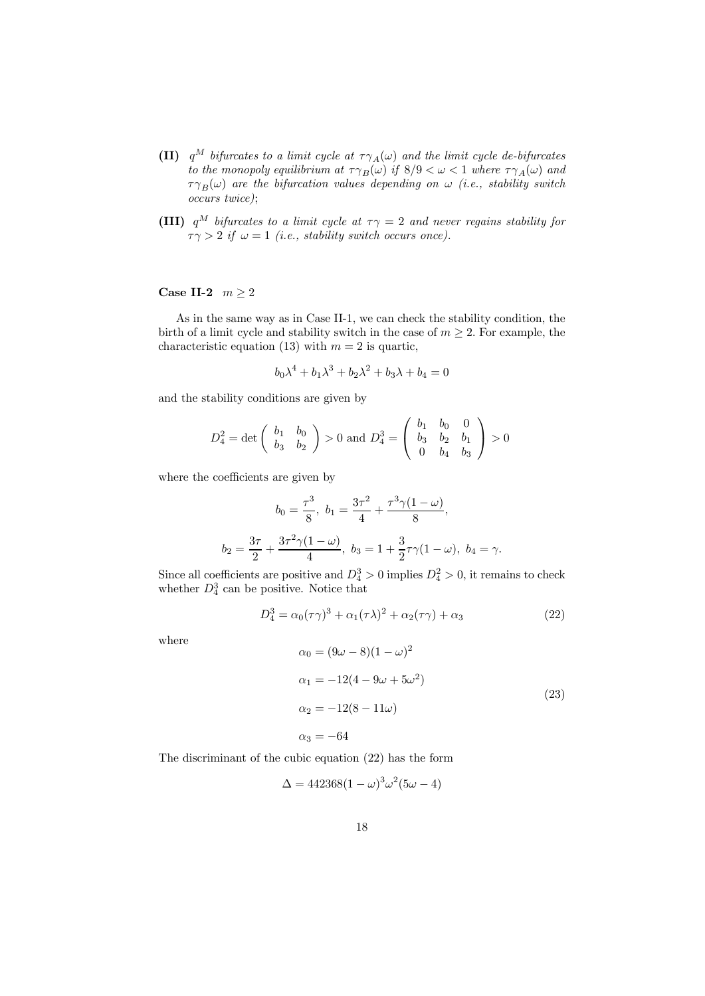- (II)  $q^M$  *bifurcates to a limit cycle at*  $\tau \gamma_A(\omega)$  *and the limit cycle de-bifurcates to the monopoly equilibrium at*  $\tau \gamma_B(\omega)$  *if*  $8/9 < \omega < 1$  *where*  $\tau \gamma_A(\omega)$  *and*  $\tau \gamma_B(\omega)$  are the bifurcation values depending on  $\omega$  (i.e., stability switch *occurs twice)*;
- (III)  $q^M$  *bifurcates to a limit cycle at*  $\tau \gamma = 2$  *and never regains stability for*  $\tau \gamma > 2$  *if*  $\omega = 1$  *(i.e., stability switch occurs once).*

### Case II-2  $m \ge 2$

As in the same way as in Case II-1, we can check the stability condition, the birth of a limit cycle and stability switch in the case of  $m \geq 2$ . For example, the characteristic equation (13) with  $m = 2$  is quartic,

$$
b_0 \lambda^4 + b_1 \lambda^3 + b_2 \lambda^2 + b_3 \lambda + b_4 = 0
$$

and the stability conditions are given by

$$
D_4^2 = \det \left( \begin{array}{cc} b_1 & b_0 \\ b_3 & b_2 \end{array} \right) > 0 \text{ and } D_4^3 = \left( \begin{array}{cc} b_1 & b_0 & 0 \\ b_3 & b_2 & b_1 \\ 0 & b_4 & b_3 \end{array} \right) > 0
$$

where the coefficients are given by

$$
b_0 = \frac{\tau^3}{8}, \ b_1 = \frac{3\tau^2}{4} + \frac{\tau^3 \gamma (1 - \omega)}{8},
$$

$$
b_2 = \frac{3\tau}{2} + \frac{3\tau^2 \gamma (1 - \omega)}{4}, \ b_3 = 1 + \frac{3}{2}\tau \gamma (1 - \omega), \ b_4 = \gamma.
$$

Since all coefficients are positive and  $D_4^3 > 0$  implies  $D_4^2 > 0$ , it remains to check whether  $D_4^3$  can be positive. Notice that

$$
D_4^3 = \alpha_0(\tau \gamma)^3 + \alpha_1(\tau \lambda)^2 + \alpha_2(\tau \gamma) + \alpha_3 \tag{22}
$$

where

$$
\alpha_0 = (9\omega - 8)(1 - \omega)^2
$$
  
\n
$$
\alpha_1 = -12(4 - 9\omega + 5\omega^2)
$$
  
\n
$$
\alpha_2 = -12(8 - 11\omega)
$$
  
\n
$$
\alpha_3 = -64
$$
\n(23)

The discriminant of the cubic equation (22) has the form

$$
\Delta = 442368(1-\omega)^3\omega^2(5\omega - 4)
$$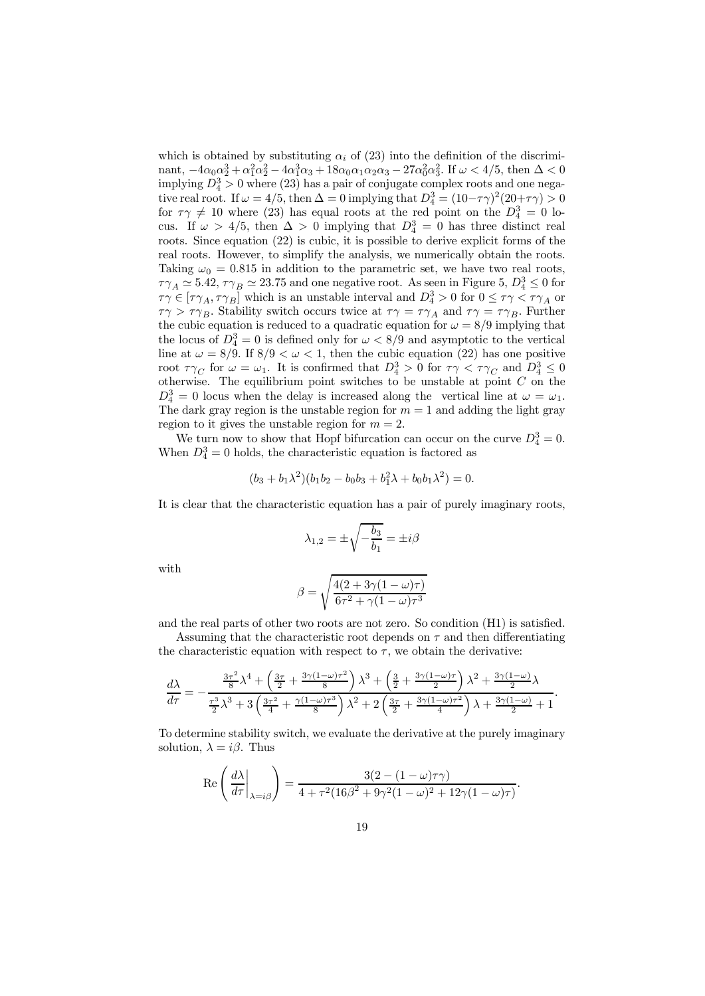which is obtained by substituting  $\alpha_i$  of (23) into the definition of the discriminant,  $-4\alpha_0\alpha_2^3 + \alpha_1^2\alpha_2^2 - 4\alpha_1^3\alpha_3 + 18\alpha_0\alpha_1\alpha_2\alpha_3 - 27\alpha_0^2\alpha_3^2$ . If  $\omega < 4/5$ , then  $\Delta < 0$ implying  $D_4^3 > 0$  where (23) has a pair of conjugate complex roots and one negative real root. If  $\omega = 4/5$ , then  $\Delta = 0$  implying that  $D_4^3 = (10 - \tau \gamma)^2 (20 + \tau \gamma) > 0$ for  $\tau \gamma \neq 10$  where (23) has equal roots at the red point on the  $D_4^3 = 0$  locus. If  $\omega > 4/5$ , then  $\Delta > 0$  implying that  $D_4^3 = 0$  has three distinct real roots. Since equation (22) is cubic, it is possible to derive explicit forms of the real roots. However, to simplify the analysis, we numerically obtain the roots. Taking  $\omega_0 = 0.815$  in addition to the parametric set, we have two real roots,  $\tau\gamma_A \simeq 5.42$ ,  $\tau\gamma_B \simeq 23.75$  and one negative root. As seen in Figure 5,  $D_4^3 \leq 0$  for  $\tau\gamma \in [\tau\gamma_A, \tau\gamma_B]$  which is an unstable interval and  $D_4^3 > 0$  for  $0 \leq \tau\gamma < \tau\gamma_A$  or  $\tau\gamma > \tau\gamma_B$ . Stability switch occurs twice at  $\tau\gamma = \tau\gamma_A$  and  $\tau\gamma = \tau\gamma_B$ . Further the cubic equation is reduced to a quadratic equation for  $\omega = 8/9$  implying that the locus of  $D_4^3 = 0$  is defined only for  $\omega < 8/9$  and asymptotic to the vertical line at  $\omega = 8/9$ . If  $8/9 < \omega < 1$ , then the cubic equation (22) has one positive root  $\tau\gamma_C$  for  $\omega = \omega_1$ . It is confirmed that  $D_4^3 > 0$  for  $\tau\gamma < \tau\gamma_C$  and  $D_4^3 \leq 0$ otherwise. The equilibrium point switches to be unstable at point  $C$  on the  $D_4^3 = 0$  locus when the delay is increased along the vertical line at  $\omega = \omega_1$ . The dark gray region is the unstable region for  $m = 1$  and adding the light gray region to it gives the unstable region for  $m = 2$ .

We turn now to show that Hopf bifurcation can occur on the curve  $D_4^3 = 0$ . When  $D_4^3 = 0$  holds, the characteristic equation is factored as

$$
(b_3 + b_1\lambda^2)(b_1b_2 - b_0b_3 + b_1^2\lambda + b_0b_1\lambda^2) = 0.
$$

It is clear that the characteristic equation has a pair of purely imaginary roots,

$$
\lambda_{1,2}=\pm\sqrt{-\frac{b_3}{b_1}}=\pm i\beta
$$

with

$$
\beta = \sqrt{\frac{4(2+3\gamma(1-\omega)\tau)}{6\tau^2 + \gamma(1-\omega)\tau^3}}
$$

and the real parts of other two roots are not zero. So condition (H1) is satisfied.

Assuming that the characteristic root depends on  $\tau$  and then differentiating the characteristic equation with respect to  $\tau$ , we obtain the derivative:

$$
\frac{d\lambda}{d\tau} = -\frac{\frac{3\tau^2}{8}\lambda^4 + \left(\frac{3\tau}{2} + \frac{3\gamma(1-\omega)\tau^2}{8}\right)\lambda^3 + \left(\frac{3}{2} + \frac{3\gamma(1-\omega)\tau}{2}\right)\lambda^2 + \frac{3\gamma(1-\omega)}{2}\lambda}{\frac{\tau^3}{2}\lambda^3 + 3\left(\frac{3\tau^2}{4} + \frac{\gamma(1-\omega)\tau^3}{8}\right)\lambda^2 + 2\left(\frac{3\tau}{2} + \frac{3\gamma(1-\omega)\tau^2}{4}\right)\lambda + \frac{3\gamma(1-\omega)}{2} + 1}.
$$

To determine stability switch, we evaluate the derivative at the purely imaginary solution,  $\lambda = i\beta$ . Thus

$$
\operatorname{Re}\left(\frac{d\lambda}{d\tau}\bigg|_{\lambda=i\beta}\right) = \frac{3(2 - (1 - \omega)\tau\gamma)}{4 + \tau^2(16\beta^2 + 9\gamma^2(1 - \omega)^2 + 12\gamma(1 - \omega)\tau)}.
$$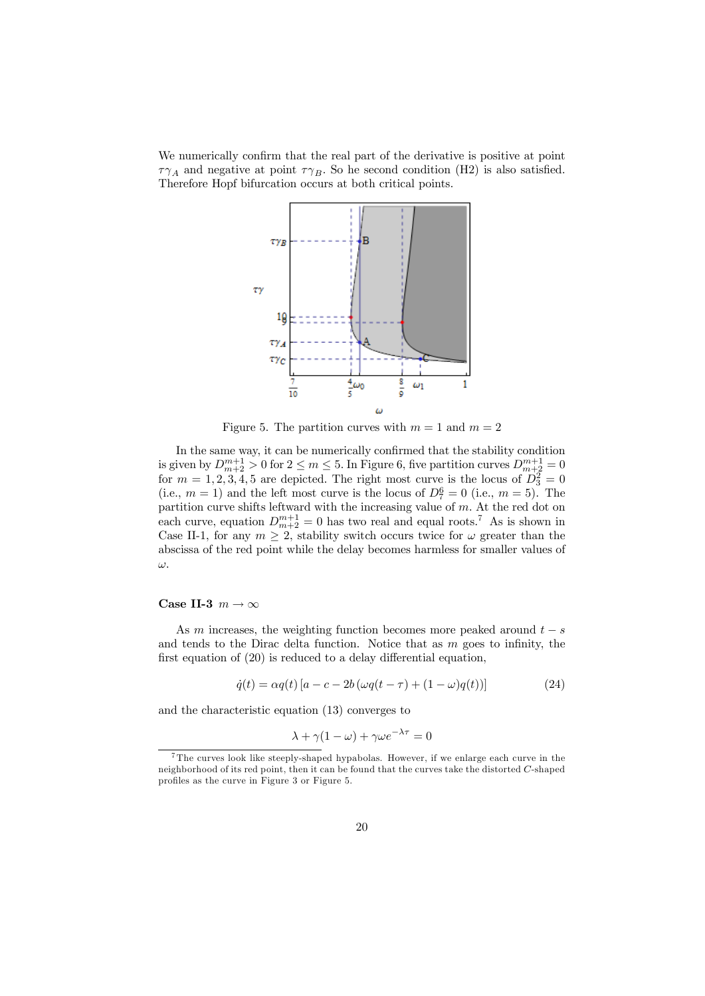We numerically confirm that the real part of the derivative is positive at point  $\tau\gamma_A$  and negative at point  $\tau\gamma_B$ . So he second condition (H2) is also satisfied. Therefore Hopf bifurcation occurs at both critical points.



Figure 5. The partition curves with  $m = 1$  and  $m = 2$ 

In the same way, it can be numerically confirmed that the stability condition is given by  $D_{m+2}^{m+1} > 0$  for  $2 \le m \le 5$ . In Figure 6, five partition curves  $D_{m+2}^{m+1} = 0$ for  $m = 1, 2, 3, 4, 5$  are depicted. The right most curve is the locus of  $D_3^2 = 0$ (i.e.,  $m = 1$ ) and the left most curve is the locus of  $D_7^6 = 0$  (i.e.,  $m = 5$ ). The partition curve shifts leftward with the increasing value of m. At the red dot on each curve, equation  $D_{m+2}^{m+1} = 0$  has two real and equal roots.<sup>7</sup> As is shown in Case II-1, for any  $m \geq 2$ , stability switch occurs twice for  $\omega$  greater than the abscissa of the red point while the delay becomes harmless for smaller values of ω.

#### Case II-3  $m \to \infty$

As m increases, the weighting function becomes more peaked around  $t - s$ and tends to the Dirac delta function. Notice that as  $m$  goes to infinity, the first equation of (20) is reduced to a delay differential equation,

$$
\dot{q}(t) = \alpha q(t) [a - c - 2b(\omega q(t - \tau) + (1 - \omega)q(t))]
$$
\n(24)

and the characteristic equation (13) converges to

$$
\lambda + \gamma (1 - \omega) + \gamma \omega e^{-\lambda \tau} = 0
$$

<sup>7</sup> The curves look like steeply-shaped hypabolas. However, if we enlarge each curve in the neighborhood of its red point, then it can be found that the curves take the distorted C-shaped profiles as the curve in Figure 3 or Figure 5.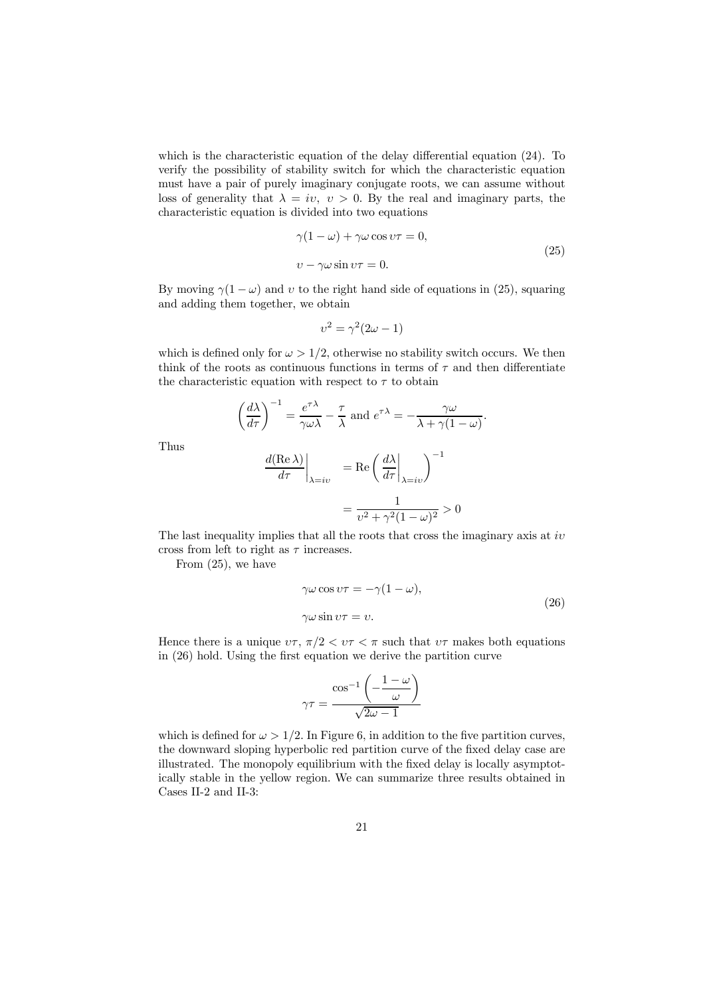which is the characteristic equation of the delay differential equation (24). To verify the possibility of stability switch for which the characteristic equation must have a pair of purely imaginary conjugate roots, we can assume without loss of generality that  $\lambda = iv$ ,  $v > 0$ . By the real and imaginary parts, the characteristic equation is divided into two equations

$$
\gamma(1 - \omega) + \gamma \omega \cos \upsilon \tau = 0,
$$
  
\n
$$
\upsilon - \gamma \omega \sin \upsilon \tau = 0.
$$
 (25)

By moving  $\gamma(1-\omega)$  and v to the right hand side of equations in (25), squaring and adding them together, we obtain

$$
v^2 = \gamma^2 (2\omega - 1)
$$

which is defined only for  $\omega > 1/2$ , otherwise no stability switch occurs. We then think of the roots as continuous functions in terms of  $\tau$  and then differentiate the characteristic equation with respect to  $\tau$  to obtain

$$
\left(\frac{d\lambda}{d\tau}\right)^{-1} = \frac{e^{\tau\lambda}}{\gamma\omega\lambda} - \frac{\tau}{\lambda}
$$
 and  $e^{\tau\lambda} = -\frac{\gamma\omega}{\lambda + \gamma(1-\omega)}$ .

Thus

$$
\frac{d(\text{Re }\lambda)}{d\tau}\Big|_{\lambda = iv} = \text{Re}\left(\frac{d\lambda}{d\tau}\Big|_{\lambda = iv}\right)^{-1}
$$

$$
= \frac{1}{v^2 + \gamma^2 (1 - \omega)^2} > 0
$$

The last inequality implies that all the roots that cross the imaginary axis at  $iv$ cross from left to right as  $\tau$  increases.

From (25), we have

$$
\gamma \omega \cos \upsilon \tau = -\gamma (1 - \omega),
$$
  

$$
\gamma \omega \sin \upsilon \tau = \upsilon.
$$
 (26)

Hence there is a unique  $v\tau$ ,  $\pi/2 < v\tau < \pi$  such that  $v\tau$  makes both equations in (26) hold. Using the first equation we derive the partition curve

$$
\gamma\tau=\frac{\cos^{-1}\left(-\frac{1-\omega}{\omega}\right)}{\sqrt{2\omega-1}}
$$

which is defined for  $\omega > 1/2$ . In Figure 6, in addition to the five partition curves, the downward sloping hyperbolic red partition curve of the fixed delay case are illustrated. The monopoly equilibrium with the fixed delay is locally asymptotically stable in the yellow region. We can summarize three results obtained in Cases II-2 and II-3: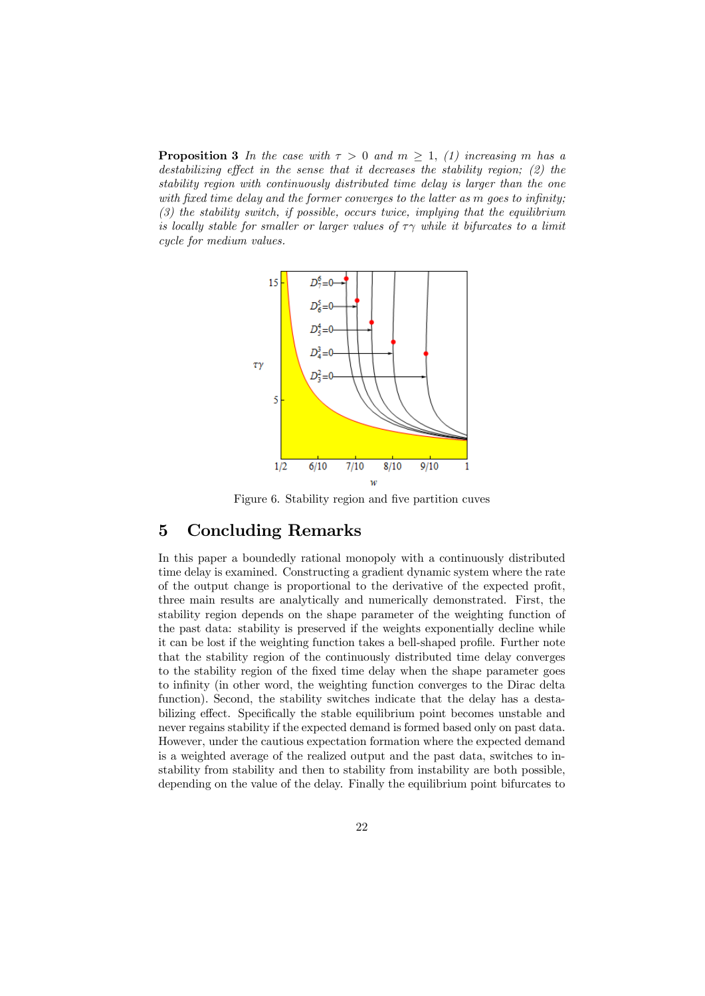**Proposition 3** In the case with  $\tau > 0$  and  $m \geq 1$ , (1) increasing m has a *destabilizing effect in the sense that it decreases the stability region; (2) the stability region with continuously distributed time delay is larger than the one with fixed time delay and the former converges to the latter as* m *goes to infinity; (3) the stability switch, if possible, occurs twice, implying that the equilibrium is locally stable for smaller or larger values of*  $\tau \gamma$  *while it bifurcates to a limit cycle for medium values.*



Figure 6. Stability region and five partition cuves

### 5 Concluding Remarks

In this paper a boundedly rational monopoly with a continuously distributed time delay is examined. Constructing a gradient dynamic system where the rate of the output change is proportional to the derivative of the expected profit, three main results are analytically and numerically demonstrated. First, the stability region depends on the shape parameter of the weighting function of the past data: stability is preserved if the weights exponentially decline while it can be lost if the weighting function takes a bell-shaped profile. Further note that the stability region of the continuously distributed time delay converges to the stability region of the fixed time delay when the shape parameter goes to infinity (in other word, the weighting function converges to the Dirac delta function). Second, the stability switches indicate that the delay has a destabilizing effect. Specifically the stable equilibrium point becomes unstable and never regains stability if the expected demand is formed based only on past data. However, under the cautious expectation formation where the expected demand is a weighted average of the realized output and the past data, switches to instability from stability and then to stability from instability are both possible, depending on the value of the delay. Finally the equilibrium point bifurcates to